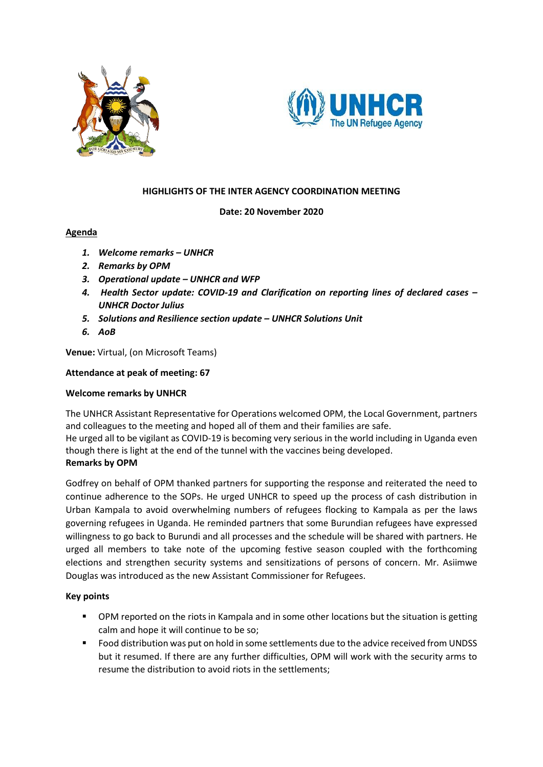



#### **HIGHLIGHTS OF THE INTER AGENCY COORDINATION MEETING**

#### **Date: 20 November 2020**

# **Agenda**

- *1. Welcome remarks – UNHCR*
- *2. Remarks by OPM*
- *3. Operational update – UNHCR and WFP*
- *4. Health Sector update: COVID-19 and Clarification on reporting lines of declared cases – UNHCR Doctor Julius*
- *5. Solutions and Resilience section update – UNHCR Solutions Unit*
- *6. AoB*

**Venue:** Virtual, (on Microsoft Teams)

#### **Attendance at peak of meeting: 67**

# **Welcome remarks by UNHCR**

The UNHCR Assistant Representative for Operations welcomed OPM, the Local Government, partners and colleagues to the meeting and hoped all of them and their families are safe.

He urged all to be vigilant as COVID-19 is becoming very serious in the world including in Uganda even though there is light at the end of the tunnel with the vaccines being developed. **Remarks by OPM**

Godfrey on behalf of OPM thanked partners for supporting the response and reiterated the need to continue adherence to the SOPs. He urged UNHCR to speed up the process of cash distribution in Urban Kampala to avoid overwhelming numbers of refugees flocking to Kampala as per the laws governing refugees in Uganda. He reminded partners that some Burundian refugees have expressed willingness to go back to Burundi and all processes and the schedule will be shared with partners. He urged all members to take note of the upcoming festive season coupled with the forthcoming elections and strengthen security systems and sensitizations of persons of concern. Mr. Asiimwe Douglas was introduced as the new Assistant Commissioner for Refugees.

# **Key points**

- **•** OPM reported on the riots in Kampala and in some other locations but the situation is getting calm and hope it will continue to be so;
- Food distribution was put on hold in some settlements due to the advice received from UNDSS but it resumed. If there are any further difficulties, OPM will work with the security arms to resume the distribution to avoid riots in the settlements;